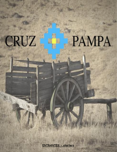## CRUZ

## PAMPA

**ENTRANTES - starters**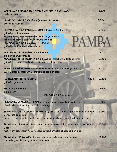| EMPANADA CRIOLLA DE CARNE CORTADA A CUCHILLO<br>knife cut veal pie                                                                                                                                                                                        | 3,80€            |
|-----------------------------------------------------------------------------------------------------------------------------------------------------------------------------------------------------------------------------------------------------------|------------------|
| CHORIZO CRIOLLO CASERO (elaboración propia)<br>argentine sausage                                                                                                                                                                                          | 5.50€            |
| PROVOLETA A LA PARRILLA CON ORÉGANO (2/3 per.)<br>grilled provolone cheese<br>PROVOLETA CON TOMATE Y JAMÓN (2/3 per.)<br>PAM<br>grilled provolone cheese with tomato and ham<br>PROVOLETA A LA FUGAZZETA (2/3per.)<br>grilled provolone cheese with onion | 9.50€<br>9.90€   |
| MOLLEJAS DE TERNERA A LA BRASA<br>grilled veal sweetbreads<br>MOLLEJAS DE TERNERA A LA BRASA con alcachofa y salsa de limón<br>grilled veal sweetbreads with artichoke and lemon sauce                                                                    | 12.00€<br>13,50€ |
| MORCILLA DE WAGYU con manzana caramelizada a la sidra (2/3pers.)<br>Wagyu blood sausage with caramelized apple at cider                                                                                                                                   | 8,50€            |
| $\frac{1}{2}$ 7.50 €<br>PARRILLADA DE VERDURAS<br>grilled vegetables                                                                                                                                                                                      | 10.50€           |
| MAIZ A LA BRASA<br>grilled corn<br><b>ENSALADAS - salads</b>                                                                                                                                                                                              | 5.50€            |
| ENSALADA CLÁSICA DE CAMPO lechuga, tomate, cebolla morada y huevo<br>classic with lettuce, tomato, onion and eggs                                                                                                                                         | 7.50€            |
| ENSALADA DE CALABAZA ASADA Y QUESO DE CABRA mix de verdes con pipas<br>y vnagreta de pomelo<br>salad roasted pumpkin, goat cheese, pumpkin seeds and grapefruits vinaigrette                                                                              | 9.50€            |
| ENSALADA CESAR mix de lechugas, tomate cherry, salsa César, queso parmesano<br>y pollo<br>mix of lettuce, cherry tomato, Cesar sauce, parmesan cheese and chicken                                                                                         | 10.00€           |
| ENSALADA DE MANGO cilantro, cebolla morada, anacardo y mango<br>coriander, purple onion, cashew and mango                                                                                                                                                 | 12,70€           |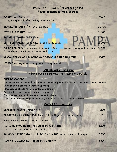## **PARRILLA DE CARBÓN-carbon grilled**

**Platos principales-main courses**

| <b>COSTILLA</b> - Beef ribs<br>*según disponibilidad-according to availability                                                                                                                                                                                                                                                                                                                             | PSM <sup>*</sup> |
|------------------------------------------------------------------------------------------------------------------------------------------------------------------------------------------------------------------------------------------------------------------------------------------------------------------------------------------------------------------------------------------------------------|------------------|
| CENTRO DE ENTRAÑA - Inner rib steak                                                                                                                                                                                                                                                                                                                                                                        | 20,90€           |
| <b>BIFE DE CHORIZO -top loin</b>                                                                                                                                                                                                                                                                                                                                                                           | 24.90€           |
| <b>ENTRECOT ARGENTINO-rib eye</b>                                                                                                                                                                                                                                                                                                                                                                          | 25.90€           |
| ENTRECOT ARGENTINO 450grs-rib eye 450 grams                                                                                                                                                                                                                                                                                                                                                                | 36.90€           |
| POLLO RELLENO * con moozarella y jamón - Stuffed chiken with moozarella and ham<br>* segú disponibilidad - according to availability                                                                                                                                                                                                                                                                       | 16.50€           |
| CHULETÓN DE CARNE MADURADA maturated meat t-bone steak                                                                                                                                                                                                                                                                                                                                                     | PSM <sup>*</sup> |
| *PSM Precio según mercado- price according to market                                                                                                                                                                                                                                                                                                                                                       |                  |
| PARRILLADA - bbq mix                                                                                                                                                                                                                                                                                                                                                                                       |                  |
| mínimo para 2 personas - minimum for 2 people                                                                                                                                                                                                                                                                                                                                                              |                  |
| <b>PUERTO MADERO</b><br>Dos entrantes y principal de carne a compartir precio por persona - price per person 28.90€<br>Chorizo criollo casero (elaboración propia)<br>Empanada criolla de ternera cortada a cuchillo<br>Costilla de ternera, centro de entraña y entrecot<br>Two starters and maincourse of meat to share<br>Sausage Argentine, knife cut veal pie, beef ribs, inner rib steak and rib eye |                  |
| PATATAS - potatoes                                                                                                                                                                                                                                                                                                                                                                                         |                  |
| <b>CLÁSICAS FRITAS french fries</b>                                                                                                                                                                                                                                                                                                                                                                        | 4.50€            |
| CLASICAS A LA PROVENZAL french fries with garlic and fresh parsley                                                                                                                                                                                                                                                                                                                                         | 5.50€            |
| ASADAS A LA BRASA roasted potatoes                                                                                                                                                                                                                                                                                                                                                                         | 5.00€            |
| PAPAS DE PAUL asadas y rellenas de crema de queso<br>roasted and stuffed with cream cheese                                                                                                                                                                                                                                                                                                                 | 5,80€            |
| RÚSTICAS ESPECIADAS Y UN POCO PICANTES with skin and slightly spicy                                                                                                                                                                                                                                                                                                                                        | 5.50€            |
| PAN Y CHIMICHURRI - bread and chimichurri                                                                                                                                                                                                                                                                                                                                                                  | $2.50 \epsilon$  |